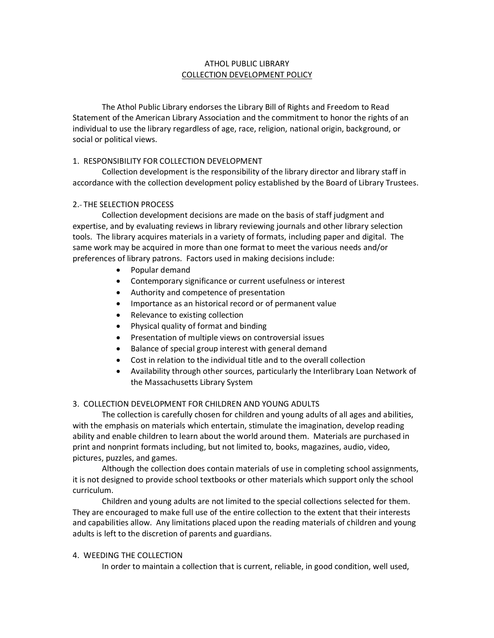# ATHOL PUBLIC LIBRARY COLLECTION DEVELOPMENT POLICY

The Athol Public Library endorses the Library Bill of Rights and Freedom to Read Statement of the American Library Association and the commitment to honor the rights of an individual to use the library regardless of age, race, religion, national origin, background, or social or political views.

# 1. RESPONSIBILITY FOR COLLECTION DEVELOPMENT

Collection development is the responsibility of the library director and library staff in accordance with the collection development policy established by the Board of Library Trustees.

## 2. THE SELECTION PROCESS

Collection development decisions are made on the basis of staff judgment and expertise, and by evaluating reviews in library reviewing journals and other library selection tools. The library acquires materials in a variety of formats, including paper and digital. The same work may be acquired in more than one format to meet the various needs and/or preferences of library patrons. Factors used in making decisions include:

- Popular demand
- Contemporary significance or current usefulness or interest
- Authority and competence of presentation
- Importance as an historical record or of permanent value
- Relevance to existing collection
- Physical quality of format and binding
- Presentation of multiple views on controversial issues
- Balance of special group interest with general demand
- Cost in relation to the individual title and to the overall collection
- Availability through other sources, particularly the Interlibrary Loan Network of the Massachusetts Library System

## 3. COLLECTION DEVELOPMENT FOR CHILDREN AND YOUNG ADULTS

The collection is carefully chosen for children and young adults of all ages and abilities, with the emphasis on materials which entertain, stimulate the imagination, develop reading ability and enable children to learn about the world around them. Materials are purchased in print and nonprint formats including, but not limited to, books, magazines, audio, video, pictures, puzzles, and games.

Although the collection does contain materials of use in completing school assignments, it is not designed to provide school textbooks or other materials which support only the school curriculum.

Children and young adults are not limited to the special collections selected for them. They are encouraged to make full use of the entire collection to the extent that their interests and capabilities allow. Any limitations placed upon the reading materials of children and young adults is left to the discretion of parents and guardians.

## 4. WEEDING THE COLLECTION

In order to maintain a collection that is current, reliable, in good condition, well used,